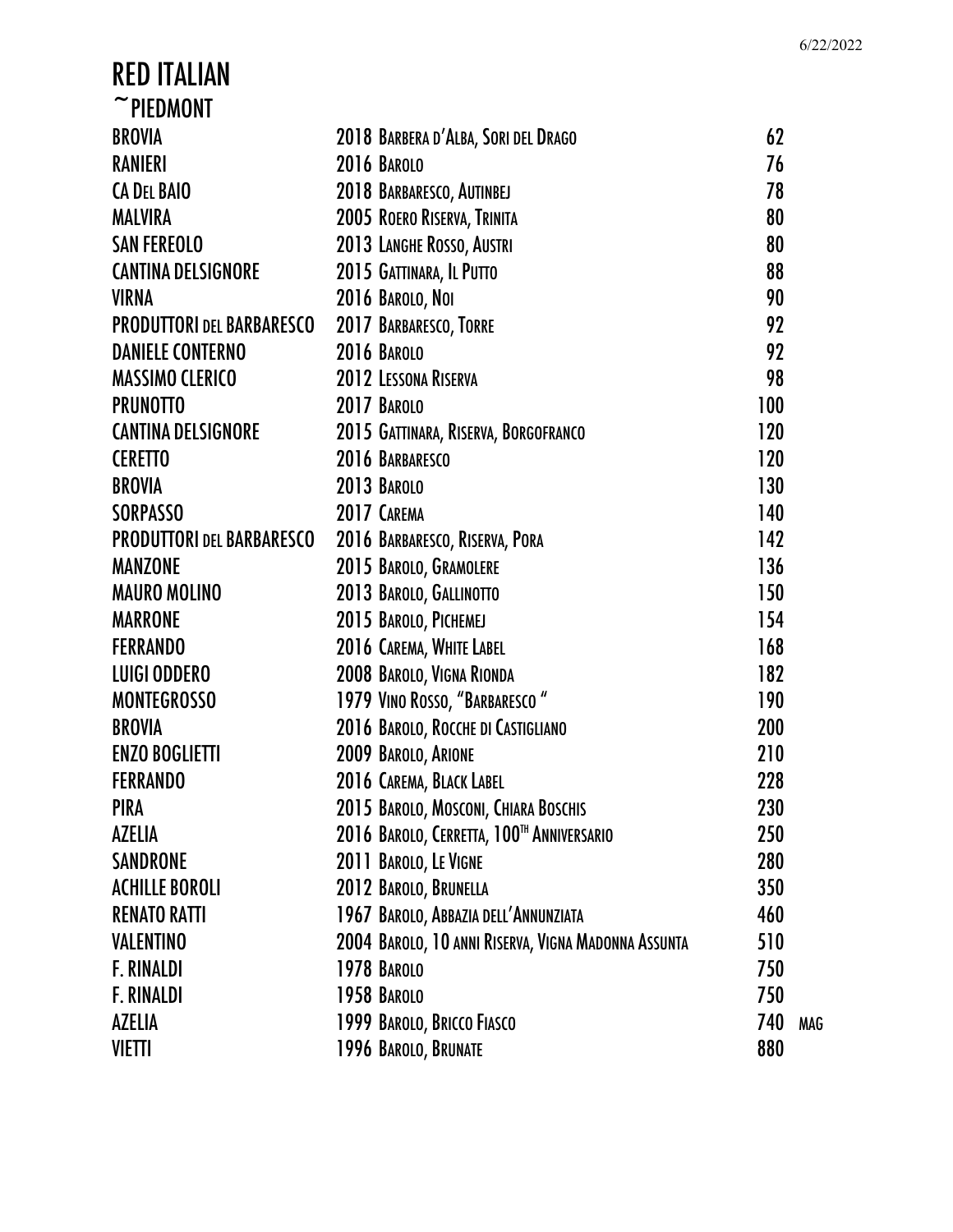| $~\tilde{}$ PIEDMONT             |                                                     |     |            |
|----------------------------------|-----------------------------------------------------|-----|------------|
| <b>BROVIA</b>                    | 2018 BARBERA D'ALBA, SORI DEL DRAGO                 | 62  |            |
| <b>RANIERI</b>                   | 2016 BAROLO                                         | 76  |            |
| <b>CA DEL BAIO</b>               | 2018 BARBARESCO, AUTINBEJ                           | 78  |            |
| <b>MALVIRA</b>                   | 2005 ROERO RISERVA, TRINITA                         | 80  |            |
| <b>SAN FEREOLO</b>               | 2013 LANGHE ROSSO, AUSTRI                           | 80  |            |
| <b>CANTINA DELSIGNORE</b>        | 2015 GATTINARA, IL PUTTO                            | 88  |            |
| <b>VIRNA</b>                     | 2016 BAROLO, NOI                                    | 90  |            |
| <b>PRODUTTORI DEL BARBARESCO</b> | 2017 BARBARESCO, TORRE                              | 92  |            |
| <b>DANIELE CONTERNO</b>          | <b>2016 BAROLO</b>                                  | 92  |            |
| <b>MASSIMO CLERICO</b>           | 2012 LESSONA RISERVA                                | 98  |            |
| <b>PRUNOTTO</b>                  | 2017 BAROLO                                         | 100 |            |
| <b>CANTINA DELSIGNORE</b>        | 2015 GATTINARA, RISERVA, BORGOFRANCO                | 120 |            |
| <b>CERETTO</b>                   | 2016 BARBARESCO                                     | 120 |            |
| <b>BROVIA</b>                    | 2013 BAROLO                                         | 130 |            |
| <b>SORPASSO</b>                  | 2017 CAREMA                                         | 140 |            |
| <b>PRODUTTORI DEL BARBARESCO</b> | 2016 BARBARESCO, RISERVA, PORA                      | 142 |            |
| <b>MANZONE</b>                   | 2015 BAROLO, GRAMOLERE                              | 136 |            |
| <b>MAURO MOLINO</b>              | 2013 BAROLO, GALLINOTTO                             | 150 |            |
| <b>MARRONE</b>                   | 2015 BAROLO, PICHEMEJ                               | 154 |            |
| <b>FERRANDO</b>                  | 2016 CAREMA, WHITE LABEL                            | 168 |            |
| <b>LUIGI ODDERO</b>              | 2008 BAROLO, VIGNA RIONDA                           | 182 |            |
| <b>MONTEGROSSO</b>               | 1979 VINO ROSSO, "BARBARESCO"                       | 190 |            |
| <b>BROVIA</b>                    | 2016 BAROLO, ROCCHE DI CASTIGLIANO                  | 200 |            |
| <b>ENZO BOGLIETTI</b>            | 2009 BAROLO, ARIONE                                 | 210 |            |
| <b>FERRANDO</b>                  | 2016 CAREMA, BLACK LABEL                            | 228 |            |
| PIRA                             | 2015 BAROLO, MOSCONI, CHIARA BOSCHIS                | 230 |            |
| <b>AZELIA</b>                    | 2016 BAROLO, CERRETTA, 100™ ANNIVERSARIO            | 250 |            |
| <b>SANDRONE</b>                  | 2011 BAROLO, LE VIGNE                               | 280 |            |
| <b>ACHILLE BOROLI</b>            | 2012 BAROLO, BRUNELLA                               | 350 |            |
| <b>RENATO RATTI</b>              | 1967 BAROLO, ABBAZIA DELL'ANNUNZIATA                | 460 |            |
| <b>VALENTINO</b>                 | 2004 BAROLO, 10 ANNI RISERVA, VIGNA MADONNA ASSUNTA | 510 |            |
| <b>F. RINALDI</b>                | 1978 BAROLO                                         | 750 |            |
| <b>F. RINALDI</b>                | 1958 BAROLO                                         | 750 |            |
| <b>AZELIA</b>                    | 1999 BAROLO, BRICCO FIASCO                          | 740 | <b>MAG</b> |
| <b>VIETTI</b>                    | 1996 BAROLO, BRUNATE                                | 880 |            |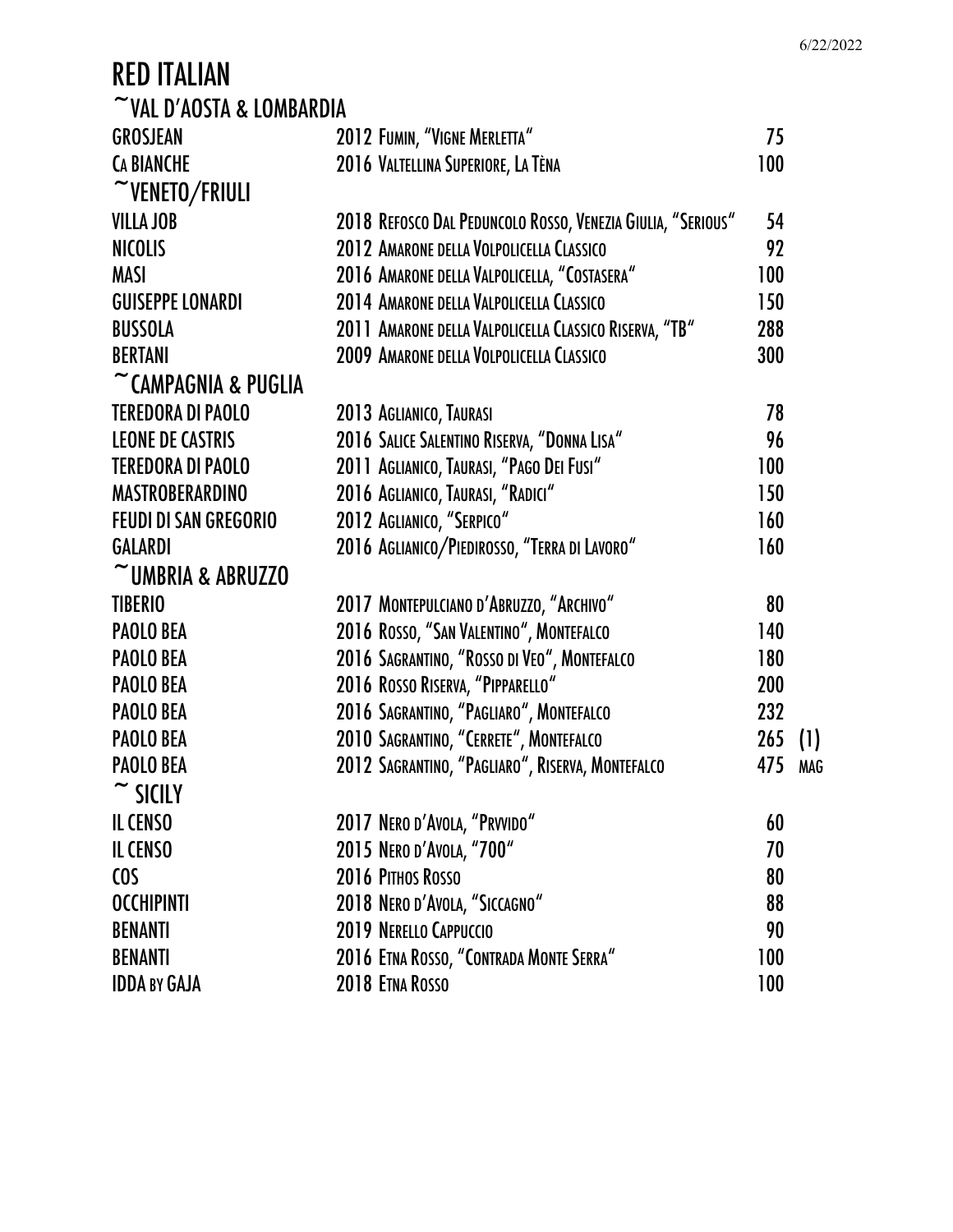|                                |                                                             |            | 6/22/2022 |
|--------------------------------|-------------------------------------------------------------|------------|-----------|
| <b>RED ITALIAN</b>             |                                                             |            |           |
| $\sim$ VAL D'AOSTA & LOMBARDIA |                                                             |            |           |
| <b>GROSJEAN</b>                | 2012 FUMIN, "VIGNE MERLETTA"                                | 75         |           |
| <b>CA BIANCHE</b>              | 2016 VALTELLINA SUPERIORE, LA TÈNA                          | 100        |           |
| $\sim$ VENETO/FRIULI           |                                                             |            |           |
| <b>VILLA JOB</b>               | 2018 REFOSCO DAL PEDUNCOLO ROSSO, VENEZIA GIULIA, "SERIOUS" | 54         |           |
| <b>NICOLIS</b>                 | 2012 AMARONE DELLA VOLPOLICELLA CLASSICO                    | 92         |           |
| <b>MASI</b>                    | 2016 AMARONE DELLA VALPOLICELLA, "COSTASERA"                | 100        |           |
| <b>GUISEPPE LONARDI</b>        | 2014 AMARONE DELLA VALPOLICELLA CLASSICO                    | 150        |           |
| <b>BUSSOLA</b>                 | 2011 AMARONE DELLA VALPOLICELLA CLASSICO RISERVA, "TB"      | 288        |           |
| <b>BERTANI</b>                 | 2009 AMARONE DELLA VOLPOLICELLA CLASSICO                    | 300        |           |
| CAMPAGNIA & PUGLIA             |                                                             |            |           |
| <b>TEREDORA DI PAOLO</b>       | 2013 AGLIANICO, TAURASI                                     | 78         |           |
| <b>LEONE DE CASTRIS</b>        | 2016 SALICE SALENTINO RISERVA, "DONNA LISA"                 | 96         |           |
| <b>TEREDORA DI PAOLO</b>       | 2011 AGLIANICO, TAURASI, "PAGO DEI FUSI"                    | 100        |           |
| <b>MASTROBERARDINO</b>         | 2016 AGLIANICO, TAURASI, "RADICI"                           | 150        |           |
| <b>FEUDI DI SAN GREGORIO</b>   | 2012 AGLIANICO, "SERPICO"                                   | 160        |           |
| <b>GALARDI</b>                 | 2016 AGLIANICO/PIEDIROSSO, "TERRA DI LAVORO"                | 160        |           |
| $\sim$ UMBRIA & ABRUZZO        |                                                             |            |           |
| <b>TIBERIO</b>                 | 2017 MONTEPULCIANO D'ABRUZZO, "ARCHIVO"                     | 80         |           |
| <b>PAOLO BEA</b>               | 2016 ROSSO, "SAN VALENTINO", MONTEFALCO                     | 140        |           |
| <b>PAOLO BEA</b>               | 2016 SAGRANTINO, "ROSSO DI VEO", MONTEFALCO                 | 180        |           |
| <b>PAOLO BEA</b>               | 2016 ROSSO RISERVA, "PIPPARELLO"                            | <b>200</b> |           |
| <b>PAOLO BEA</b>               | 2016 SAGRANTINO, "PAGLIARO", MONTEFALCO                     | 232        |           |
| <b>PAOLO BEA</b>               | 2010 SAGRANTINO, "CERRETE", MONTEFALCO                      | $265$ (1)  |           |
| <b>PAOLO BEA</b>               | 2012 SAGRANTINO, "PAGLIARO", RISERVA, MONTEFALCO            | 475        | MAG       |
| $\sim$ SICILY                  |                                                             |            |           |
| <b>IL CENSO</b>                | 2017 NERO D'AVOLA, "PRVVIDO"                                | 60         |           |
| <b>IL CENSO</b>                | 2015 NERO D'AVOLA, "700"                                    | 70         |           |
| <b>COS</b>                     | 2016 PITHOS ROSSO                                           | 80         |           |
| <b>OCCHIPINTI</b>              | 2018 NERO D'AVOLA, "SICCAGNO"                               | 88         |           |
| <b>BENANTI</b>                 | 2019 NERELLO CAPPUCCIO                                      | 90         |           |
| <b>BENANTI</b>                 | 2016 ETNA ROSSO, "CONTRADA MONTE SERRA"                     | 100        |           |
| <b>IDDA BY GAJA</b>            | 2018 ETNA ROSSO                                             | 100        |           |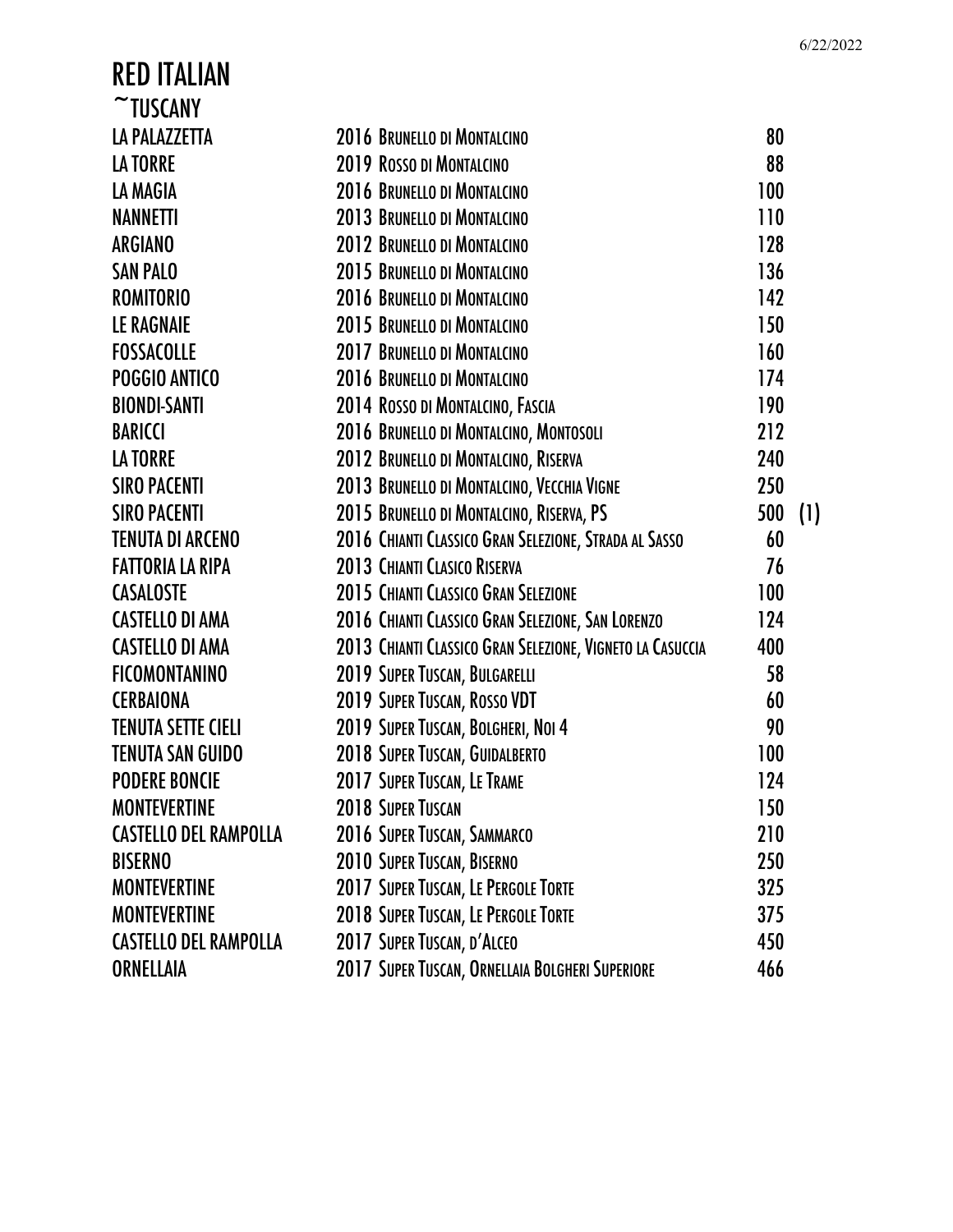| <b>RED ITALIAN</b>           |                                                           |     |     |
|------------------------------|-----------------------------------------------------------|-----|-----|
| $\sim$ TUSCANY               |                                                           |     |     |
| LA PALAZZETTA                | 2016 BRUNELLO DI MONTALCINO                               | 80  |     |
| LA TORRE                     | <b>2019 ROSSO DI MONTALCINO</b>                           | 88  |     |
| LA MAGIA                     | 2016 BRUNELLO DI MONTALCINO                               | 100 |     |
| NANNETTI                     | 2013 BRUNELLO DI MONTALCINO                               | 110 |     |
| ARGIANO                      | <b>2012 BRUNELLO DI MONTALCINO</b>                        | 128 |     |
| <b>SAN PALO</b>              | 2015 BRUNELLO DI MONTALCINO                               | 136 |     |
| ROMITORIO                    | 2016 BRUNELLO DI MONTALCINO                               | 142 |     |
| <b>LE RAGNAIE</b>            | 2015 BRUNELLO DI MONTALCINO                               | 150 |     |
| FOSSACOLLE                   | 2017 BRUNELLO DI MONTALCINO                               | 160 |     |
| <b>POGGIO ANTICO</b>         | 2016 BRUNELLO DI MONTALCINO                               | 174 |     |
| <b>BIONDI-SANTI</b>          | 2014 ROSSO DI MONTALCINO, FASCIA                          | 190 |     |
| <b>BARICCI</b>               | 2016 BRUNELLO DI MONTALCINO, MONTOSOLI                    | 212 |     |
| LA TORRE                     | 2012 BRUNELLO DI MONTALCINO, RISERVA                      | 240 |     |
| <b>SIRO PACENTI</b>          | 2013 BRUNELLO DI MONTALCINO, VECCHIA VIGNE                | 250 |     |
| <b>SIRO PACENTI</b>          | 2015 BRUNELLO DI MONTALCINO, RISERVA, PS                  | 500 | (1) |
| TENUTA DI ARCENO             | 2016 CHIANTI CLASSICO GRAN SELEZIONE, STRADA AL SASSO     | 60  |     |
| FATTORIA LA RIPA             | <b>2013 CHIANTI CLASICO RISERVA</b>                       | 76  |     |
| <b>CASALOSTE</b>             | 2015 CHIANTI CLASSICO GRAN SELEZIONE                      | 100 |     |
| <b>CASTELLO DI AMA</b>       | 2016 CHIANTI CLASSICO GRAN SELEZIONE, SAN LORENZO         | 124 |     |
| <b>CASTELLO DI AMA</b>       | 2013 CHIANTI CLASSICO GRAN SELEZIONE, VIGNETO LA CASUCCIA | 400 |     |
| <b>FICOMONTANINO</b>         | 2019 SUPER TUSCAN, BULGARELLI                             | 58  |     |
| <b>CERBAIONA</b>             | 2019 SUPER TUSCAN, ROSSO VDT                              | 60  |     |
| TENUTA SETTE CIELI           | 2019 SUPER TUSCAN, BOLGHERI, NOI 4                        | 90  |     |
| TENUTA SAN GUIDO             | 2018 SUPER TUSCAN, GUIDALBERTO                            | 100 |     |
| <b>PODERE BONCIE</b>         | 2017 SUPER TUSCAN, LE TRAME                               | 124 |     |
| MONTEVERTINE                 | <b>2018 SUPER TUSCAN</b>                                  | 150 |     |
| <b>CASTELLO DEL RAMPOLLA</b> | 2016 SUPER TUSCAN, SAMMARCO                               | 210 |     |
| BISERNO                      | 2010 SUPER TUSCAN, BISERNO                                | 250 |     |
| MONTEVERTINE                 | 2017 SUPER TUSCAN, LE PERGOLE TORTE                       | 325 |     |
| MONTEVERTINE                 | 2018 SUPER TUSCAN, LE PERGOLE TORTE                       | 375 |     |
| CASTELLO DEL RAMPOLLA        | 2017 SUPER TUSCAN, D'ALCEO                                | 450 |     |
| ORNELLAIA                    | 2017 SUPER TUSCAN, ORNELLAIA BOLGHERI SUPERIORE           | 466 |     |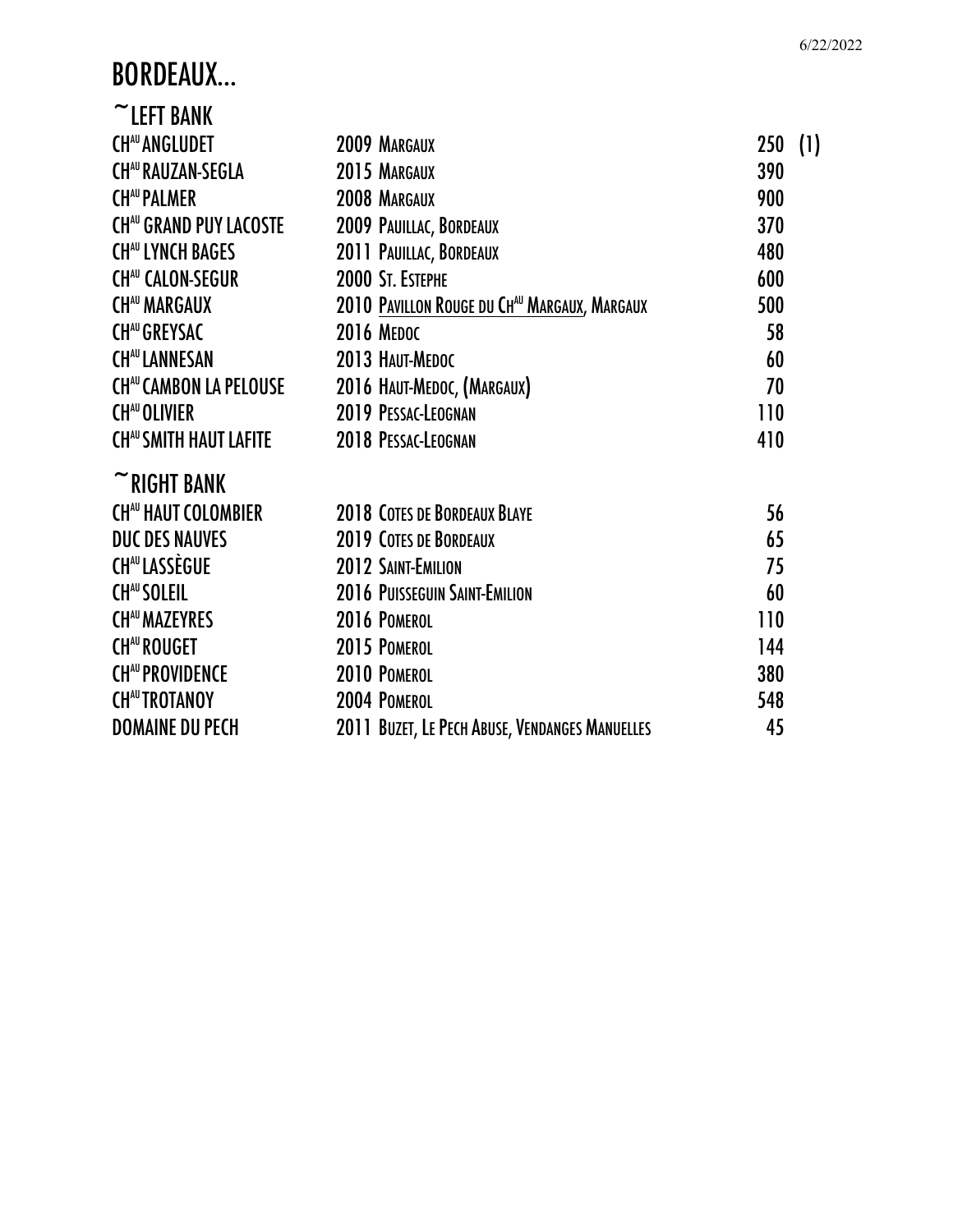## BORDEAUX…

| $\sim$ LEFT BANK              |                                                     |            |     |
|-------------------------------|-----------------------------------------------------|------------|-----|
| <b>CHAU ANGLUDET</b>          | 2009 MARGAUX                                        | <b>250</b> | (1) |
| <b>CHAU RAUZAN-SEGLA</b>      | 2015 MARGAUX                                        | 390        |     |
| <b>CHAU PALMER</b>            | 2008 MARGAUX                                        | 900        |     |
| <b>CHAU GRAND PUY LACOSTE</b> | 2009 PAUILLAC, BORDEAUX                             | 370        |     |
| <b>CHAU LYNCH BAGES</b>       | 2011 PAUILLAC, BORDEAUX                             | 480        |     |
| <b>CHAU CALON-SEGUR</b>       | 2000 ST. ESTEPHE                                    | 600        |     |
| <b>CHAU MARGAUX</b>           | <b>2010 PAVILLON ROUGE DU CHAU MARGAUX, MARGAUX</b> | 500        |     |
| <b>CHAU GREYSAC</b>           | <b>2016 MEDOC</b>                                   | 58         |     |
| <b>CHAU LANNESAN</b>          | 2013 HAUT-MEDOC                                     | 60         |     |
| <b>CHAU CAMBON LA PELOUSE</b> | 2016 HAUT-MEDOC, (MARGAUX)                          | 70         |     |
| <b>CHAU OLIVIER</b>           | 2019 PESSAC-LEOGNAN                                 | 110        |     |
| <b>CHAU SMITH HAUT LAFITE</b> | 2018 PESSAC-LEOGNAN                                 | 410        |     |
| $~\tilde{}$ RIGHT BANK        |                                                     |            |     |
| <b>CHAU HAUT COLOMBIER</b>    | <b>2018 COTES DE BORDEAUX BLAYE</b>                 | 56         |     |
| <b>DUC DES NAUVES</b>         | <b>2019 COTES DE BORDEAUX</b>                       | 65         |     |
| <b>CHAU LASSÈGUE</b>          | 2012 SAINT-EMILION                                  | 75         |     |
| <b>CHAU SOLEIL</b>            | <b>2016 PUISSEGUIN SAINT-EMILION</b>                | 60         |     |
| <b>CHAU MAZEYRES</b>          | 2016 POMEROL                                        | 110        |     |
| <b>CHAU ROUGET</b>            | 2015 POMEROL                                        | 144        |     |
| <b>CHAU PROVIDENCE</b>        | 2010 POMEROL                                        | 380        |     |
| <b>CHAU TROTANOY</b>          | 2004 POMEROL                                        | 548        |     |
| <b>DOMAINE DU PECH</b>        | 2011 BUZET, LE PECH ABUSE, VENDANGES MANUELLES      | 45         |     |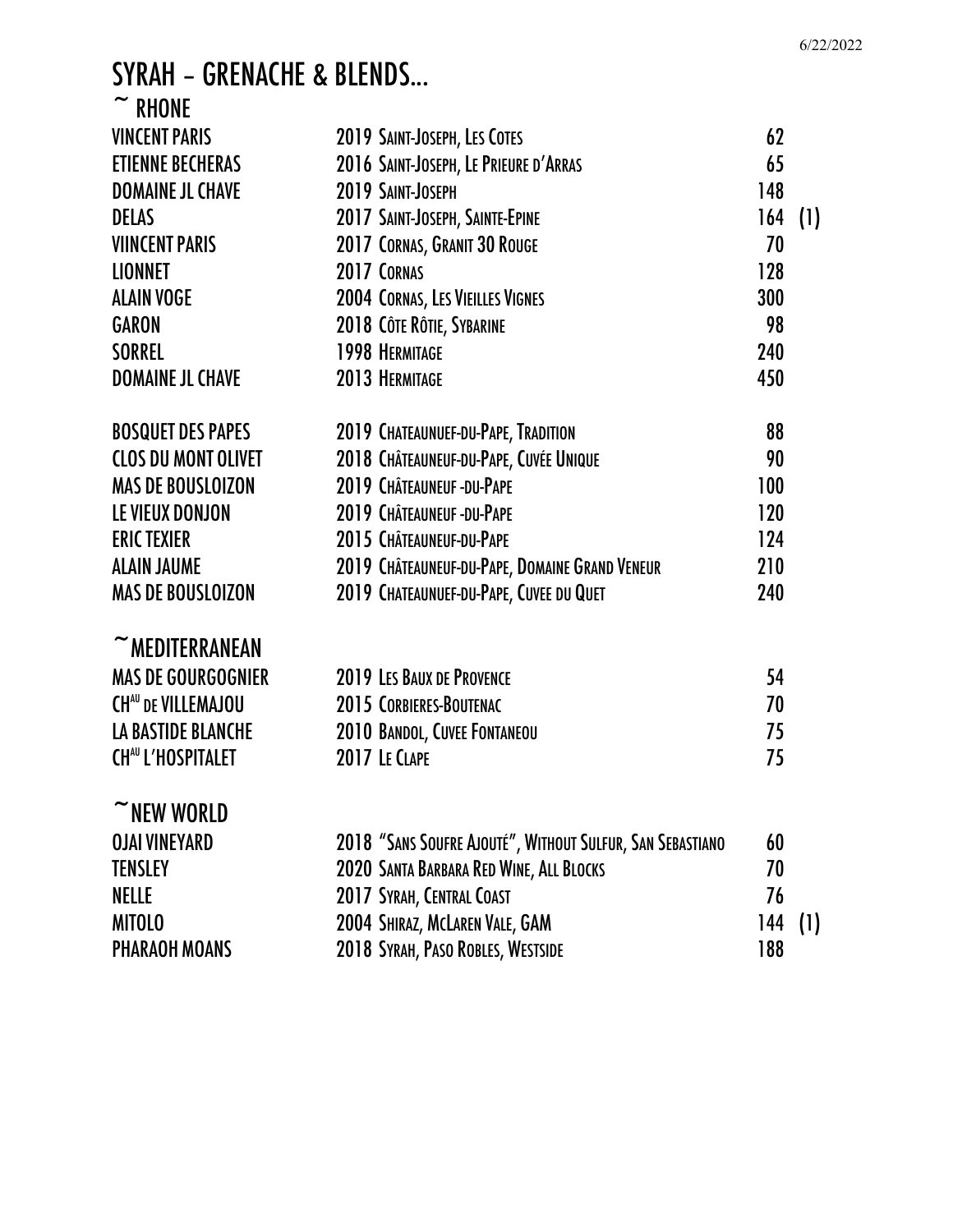## SYRAH – GRENACHE & BLENDS...  $\sim$  DHONE

| KNUNE                      |                                                           |     |     |
|----------------------------|-----------------------------------------------------------|-----|-----|
| <b>VINCENT PARIS</b>       | 2019 SAINT-JOSEPH, LES COTES                              | 62  |     |
| <b>ETIENNE BECHERAS</b>    | 2016 SAINT-JOSEPH, LE PRIEURE D'ARRAS                     | 65  |     |
| <b>DOMAINE JL CHAVE</b>    | 2019 SAINT-JOSEPH                                         | 148 |     |
| <b>DELAS</b>               | 2017 SAINT-JOSEPH, SAINTE-EPINE                           | 164 | (1) |
| <b>VIINCENT PARIS</b>      | 2017 CORNAS, GRANIT 30 ROUGE                              | 70  |     |
| <b>LIONNET</b>             | 2017 CORNAS                                               | 128 |     |
| <b>ALAIN VOGE</b>          | <b>2004 CORNAS, LES VIEILLES VIGNES</b>                   | 300 |     |
| <b>GARON</b>               | 2018 CÔTE RÔTIE, SYBARINE                                 | 98  |     |
| <b>SORREL</b>              | <b>1998 HERMITAGE</b>                                     | 240 |     |
| <b>DOMAINE JL CHAVE</b>    | 2013 HERMITAGE                                            | 450 |     |
| <b>BOSQUET DES PAPES</b>   | 2019 CHATEAUNUEF-DU-PAPE, TRADITION                       | 88  |     |
| <b>CLOS DU MONT OLIVET</b> | 2018 CHÂTEAUNEUF-DU-PAPE, CUVÉE UNIQUE                    | 90  |     |
| <b>MAS DE BOUSLOIZON</b>   | 2019 CHÂTEAUNEUF-DU-PAPE                                  | 100 |     |
| LE VIEUX DONJON            | 2019 CHÂTEAUNEUF-DU-PAPE                                  | 120 |     |
| <b>ERIC TEXIER</b>         | 2015 CHÂTEAUNEUF-DU-PAPE                                  | 124 |     |
| <b>ALAIN JAUME</b>         | 2019 CHÂTEAUNEUF-DU-PAPE, DOMAINE GRAND VENEUR            | 210 |     |
| <b>MAS DE BOUSLOIZON</b>   | 2019 CHATEAUNUEF-DU-PAPE, CUVEE DU QUET                   | 240 |     |
| $~\tilde{}~$ MEDITERRANEAN |                                                           |     |     |
| <b>MAS DE GOURGOGNIER</b>  | 2019 LES BAUX DE PROVENCE                                 | 54  |     |
| <b>CHAU DE VILLEMAJOU</b>  | 2015 CORBIERES-BOUTENAC                                   | 70  |     |
| <b>LA BASTIDE BLANCHE</b>  | 2010 BANDOL, CUVEE FONTANEOU                              | 75  |     |
| <b>CHAU L'HOSPITALET</b>   | 2017 LE CLAPE                                             | 75  |     |
| $~\tilde{}$ NEW WORLD      |                                                           |     |     |
| <b>OJAI VINEYARD</b>       | 2018 "SANS SOUFRE AJOUTÉ", WITHOUT SULFUR, SAN SEBASTIANO | 60  |     |
| <b>TENSLEY</b>             | 2020 SANTA BARBARA RED WINE, ALL BLOCKS                   | 70  |     |
| <b>NELLE</b>               | 2017 SYRAH, CENTRAL COAST                                 | 76  |     |
| <b>MITOLO</b>              | 2004 SHIRAZ, MCLAREN VALE, GAM                            | 144 | (1) |
| <b>PHARAOH MOANS</b>       | 2018 SYRAH, PASO ROBLES, WESTSIDE                         | 188 |     |
|                            |                                                           |     |     |